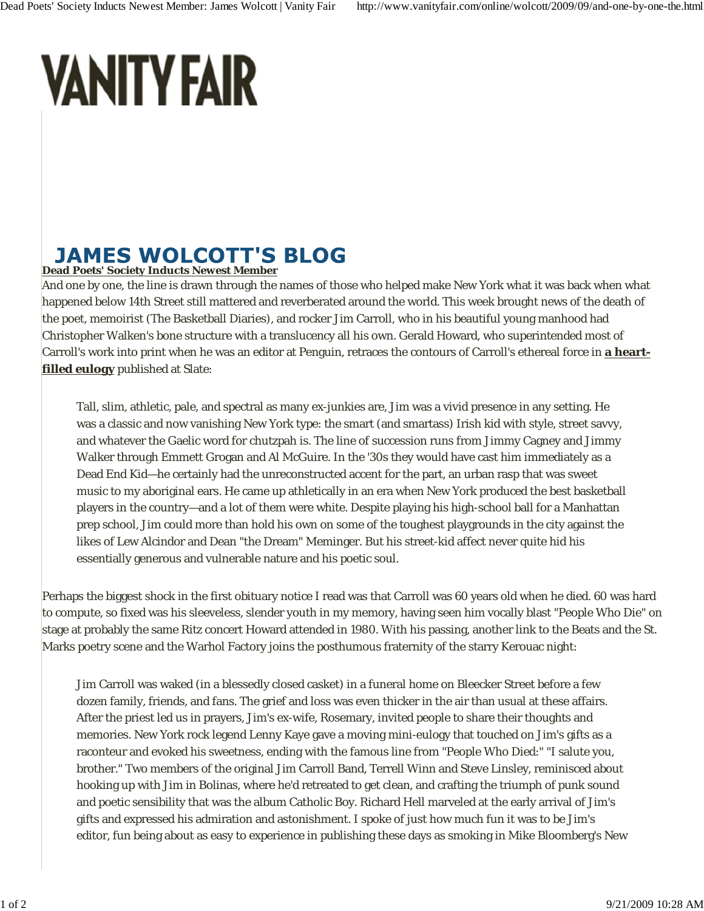## **VANITY FAIR**

## **JAMES WOLCOTT'S BLOG Dead Poets' Society Inducts Newest Member**

And one by one, the line is drawn through the names of those who helped make New York what it was back when what happened below 14th Street still mattered and reverberated around the world. This week brought news of the death of the poet, memoirist (The Basketball Diaries), and rocker Jim Carroll, who in his beautiful young manhood had Christopher Walken's bone structure with a translucency all his own. Gerald Howard, who superintended most of Carroll's work into print when he was an editor at Penguin, retraces the contours of Carroll's ethereal force in **a heartfilled eulogy** published at Slate:

Tall, slim, athletic, pale, and spectral as many ex-junkies are, Jim was a vivid presence in any setting. He was a classic and now vanishing New York type: the smart (and smartass) Irish kid with style, street savvy, and whatever the Gaelic word for chutzpah is. The line of succession runs from Jimmy Cagney and Jimmy Walker through Emmett Grogan and Al McGuire. In the '30s they would have cast him immediately as a Dead End Kid—he certainly had the unreconstructed accent for the part, an urban rasp that was sweet music to my aboriginal ears. He came up athletically in an era when New York produced the best basketball players in the country—and a lot of them were white. Despite playing his high-school ball for a Manhattan prep school, Jim could more than hold his own on some of the toughest playgrounds in the city against the likes of Lew Alcindor and Dean "the Dream" Meminger. But his street-kid affect never quite hid his essentially generous and vulnerable nature and his poetic soul.

Perhaps the biggest shock in the first obituary notice I read was that Carroll was 60 years old when he died. 60 was hard to compute, so fixed was his sleeveless, slender youth in my memory, having seen him vocally blast "People Who Die" on stage at probably the same Ritz concert Howard attended in 1980. With his passing, another link to the Beats and the St. Marks poetry scene and the Warhol Factory joins the posthumous fraternity of the starry Kerouac night:

Jim Carroll was waked (in a blessedly closed casket) in a funeral home on Bleecker Street before a few dozen family, friends, and fans. The grief and loss was even thicker in the air than usual at these affairs. After the priest led us in prayers, Jim's ex-wife, Rosemary, invited people to share their thoughts and memories. New York rock legend Lenny Kaye gave a moving mini-eulogy that touched on Jim's gifts as a raconteur and evoked his sweetness, ending with the famous line from "People Who Died:" "I salute you, brother." Two members of the original Jim Carroll Band, Terrell Winn and Steve Linsley, reminisced about hooking up with Jim in Bolinas, where he'd retreated to get clean, and crafting the triumph of punk sound and poetic sensibility that was the album Catholic Boy. Richard Hell marveled at the early arrival of Jim's gifts and expressed his admiration and astonishment. I spoke of just how much fun it was to be Jim's editor, fun being about as easy to experience in publishing these days as smoking in Mike Bloomberg's New